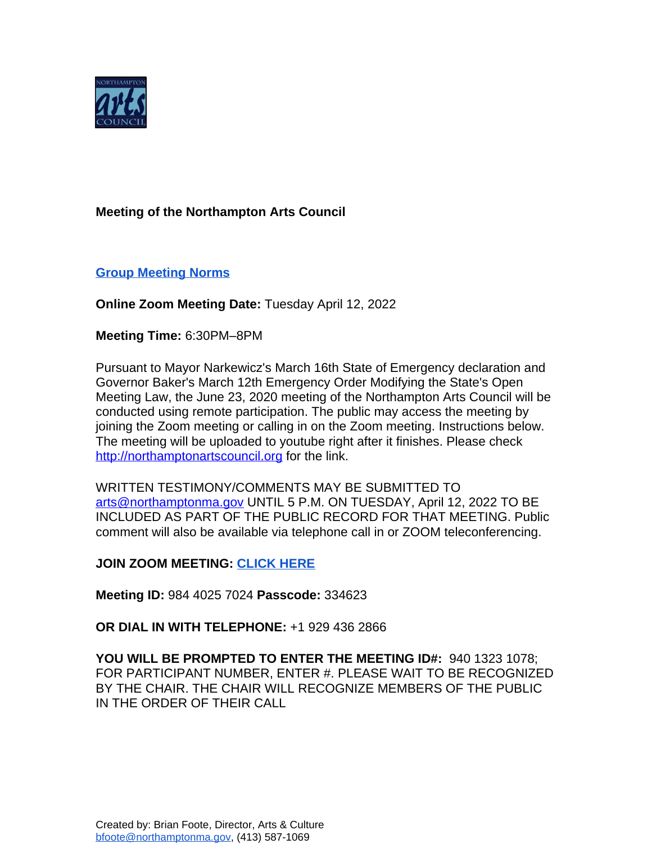

## **Meeting of the Northampton Arts Council**

# **[Group Meeting Norms](https://docs.google.com/document/d/1HsAs9eKPNH9wsmTrVXWLBaOcjETI8_4_EhJtmzV9qws/edit?usp=sharing)**

## **Online Zoom Meeting Date:** Tuesday April 12, 2022

#### **Meeting Time:** 6:30PM–8PM

Pursuant to Mayor Narkewicz's March 16th State of Emergency declaration and Governor Baker's March 12th Emergency Order Modifying the State's Open Meeting Law, the June 23, 2020 meeting of the Northampton Arts Council will be conducted using remote participation. The public may access the meeting by joining the Zoom meeting or calling in on the Zoom meeting. Instructions below. The meeting will be uploaded to youtube right after it finishes. Please check <http://northamptonartscouncil.org> for the link.

WRITTEN TESTIMONY/COMMENTS MAY BE SUBMITTED TO [arts@northamptonma.gov](mailto:arts@northamptonma.gov%20?subject=Zoom%20Board%20Meeting) UNTIL 5 P.M. ON TUESDAY, April 12, 2022 TO BE INCLUDED AS PART OF THE PUBLIC RECORD FOR THAT MEETING. Public comment will also be available via telephone call in or ZOOM teleconferencing.

#### **JOIN ZOOM MEETING: [CLICK HERE](https://zoom.us/j/98440257024?pwd=NDFvRlpNL3FjVk8wa1RqNU9VWDFoZz09)**

**Meeting ID:** 984 4025 7024 **Passcode:** 334623

**OR DIAL IN WITH TELEPHONE:** +1 929 436 2866

**YOU WILL BE PROMPTED TO ENTER THE MEETING ID#:** 940 1323 1078; FOR PARTICIPANT NUMBER, ENTER #. PLEASE WAIT TO BE RECOGNIZED BY THE CHAIR. THE CHAIR WILL RECOGNIZE MEMBERS OF THE PUBLIC IN THE ORDER OF THEIR CALL